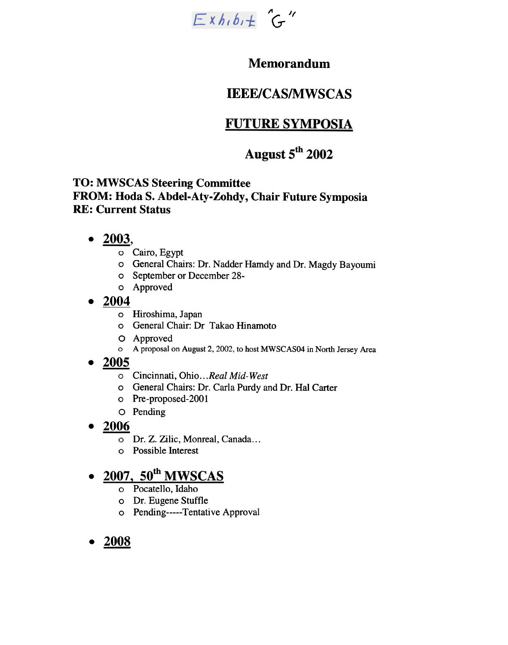

## Memorandum

# IEEE/CAS/MWSCAS

# **FUTURE SYMPOSIA**

# August 5<sup>th</sup> 2002

### TO: MWSCAS Steering Committee FROM: Hoda S. Abdel-Aty-Zohdy, Chair Future Symposia RE: Current Status

- $\bullet$  2003,
	- o Cairo, Egypt
	- o General Chairs: Dr. Nadder Hamdy and Dr. Magdy Bayoumi
	- o September or December 28-
	- Approved 0
- $\bullet$ 
	- $\frac{2004}{\circ}$  Hiroshima, Japan
		- 0 General Chair: Dr Takao Hinamoto
		- 0 Approved
		- 0 A proposal on August 2, 2002, to host MWSCAS04 in North Jersey Area
- 2005
	- o Cincinnati, Ohio...Real Mid-West
	- 0 General Chairs: Dr. Carla Purdy and Dr. Hal Carter
	- 0 Pre-proposed-2001
	- 0 Pending
- 2006
	- 0 Dr. Z. Zilic, Monreal, Canada...
	- 0 Possible Interest

# o Hiroshima, Japan<br>
o General Chair: Dr<br>
O Approved<br>
•  $2005$ <br>
Cincinnati, Ohio...<br>
o General Chairs: D<br>
o Pre-proposed-200<br>
O Pending<br>
•  $2006$ <br>
o Dr. Z. Zilic, Monr<br>
o Possible Interest<br>
•  $2007$ ,  $50$ <sup>th</sup> MWSC<br>
o Pocat

- 0 Pocatello, Idaho
- 0 Dr.. Eugene Stuffle
- o Pending-----Tentative Approval
- 2008